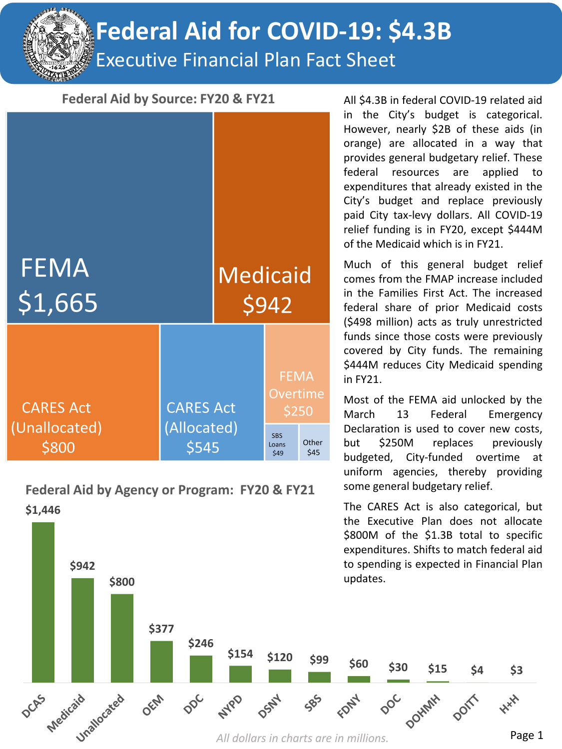**Federal Aid for COVID-19: \$4.3B**

Executive Financial Plan Fact Sheet

#### Federal Aid by Source: FY20 & FY21

| <b>FEMA</b><br>\$1,665            |                                          | <b>Medicaid</b> | \$942                                   |               |
|-----------------------------------|------------------------------------------|-----------------|-----------------------------------------|---------------|
| <b>CARES Act</b><br>(Unallocated) | <b>CARES Act</b><br>(Allocated)<br>\$545 |                 | <b>FEMA</b><br><b>Overtime</b><br>\$250 |               |
| \$800                             |                                          |                 | <b>SBS</b><br>Loans<br>\$49             | Other<br>\$45 |

**\$1,446 Federal Aid by Agency or Program: FY20 & FY21**

**\$942** 

All \$4.3B in federal COVID-19 related aid in the City's budget is categorical. However, nearly \$2B of these aids (in orange) are allocated in a way that provides general budgetary relief. These federal resources are applied to expenditures that already existed in the City's budget and replace previously paid City tax-levy dollars. All COVID-19 relief funding is in FY20, except \$444M of the Medicaid which is in FY21.

Much of this general budget relief comes from the FMAP increase included in the Families First Act. The increased federal share of prior Medicaid costs (\$498 million) acts as truly unrestricted funds since those costs were previously covered by City funds. The remaining \$444M reduces City Medicaid spending in FY21.

Most of the FEMA aid unlocked by the March 13 Federal Emergency Declaration is used to cover new costs, but \$250M replaces previously budgeted, City-funded overtime at uniform agencies, thereby providing some general budgetary relief.

The CARES Act is also categorical, but the Executive Plan does not allocate \$800M of the \$1.3B total to specific expenditures. Shifts to match federal aid to spending is expected in Financial Plan updates.